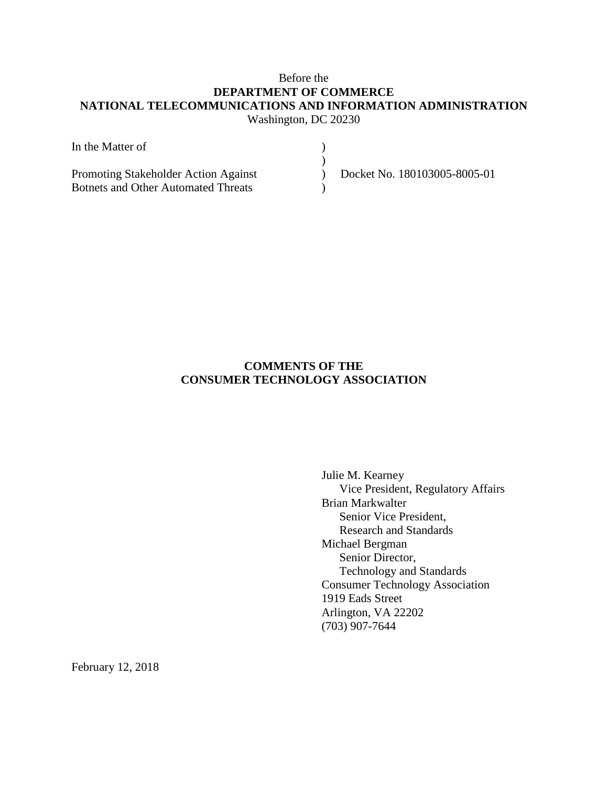# Before the **DEPARTMENT OF COMMERCE NATIONAL TELECOMMUNICATIONS AND INFORMATION ADMINISTRATION** Washington, DC 20230

| In the Matter of                           |                              |
|--------------------------------------------|------------------------------|
|                                            |                              |
| Promoting Stakeholder Action Against       | Docket No. 180103005-8005-01 |
| <b>Botnets and Other Automated Threats</b> |                              |

# **COMMENTS OF THE CONSUMER TECHNOLOGY ASSOCIATION**

Julie M. Kearney Vice President, Regulatory Affairs Brian Markwalter Senior Vice President, Research and Standards Michael Bergman Senior Director, Technology and Standards Consumer Technology Association 1919 Eads Street Arlington, VA 22202 (703) 907-7644

February 12, 2018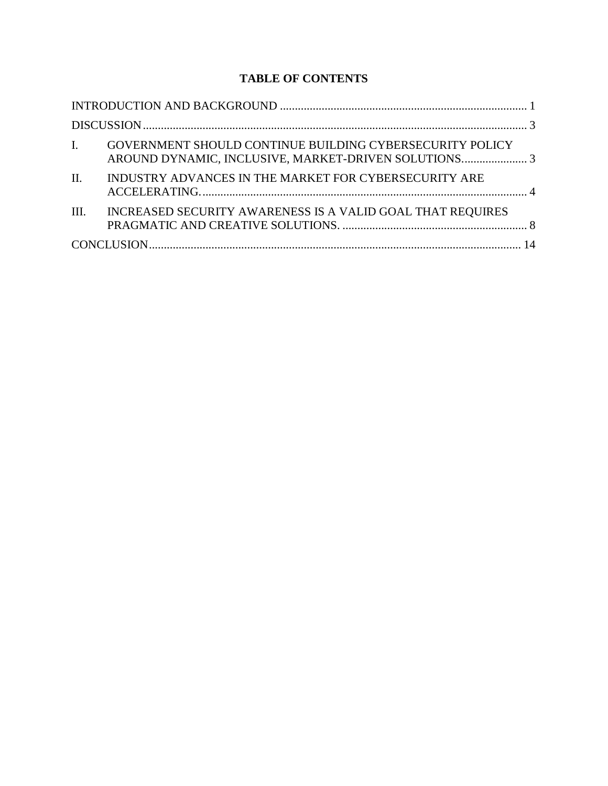# **TABLE OF CONTENTS**

|                 | I. GOVERNMENT SHOULD CONTINUE BUILDING CYBERSECURITY POLICY |  |
|-----------------|-------------------------------------------------------------|--|
| $\mathbf{II}$ . | INDUSTRY ADVANCES IN THE MARKET FOR CYBERSECURITY ARE       |  |
| III.            | INCREASED SECURITY AWARENESS IS A VALID GOAL THAT REQUIRES  |  |
|                 |                                                             |  |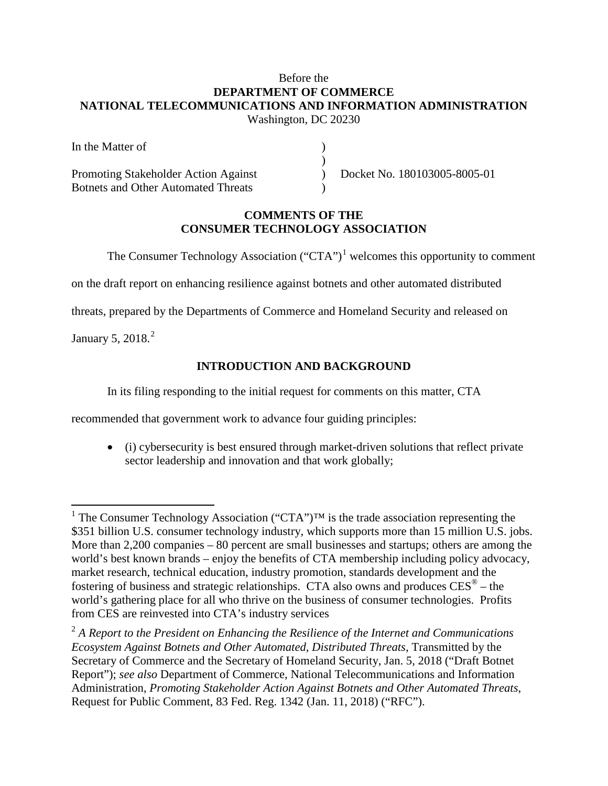## Before the **DEPARTMENT OF COMMERCE NATIONAL TELECOMMUNICATIONS AND INFORMATION ADMINISTRATION** Washington, DC 20230

| In the Matter of                           |                              |
|--------------------------------------------|------------------------------|
|                                            |                              |
| Promoting Stakeholder Action Against       | Docket No. 180103005-8005-01 |
| <b>Botnets and Other Automated Threats</b> |                              |

### **COMMENTS OF THE CONSUMER TECHNOLOGY ASSOCIATION**

The Consumer Technology Association (" $CTA$ ")<sup>[1](#page-2-1)</sup> welcomes this opportunity to comment

on the draft report on enhancing resilience against botnets and other automated distributed

threats, prepared by the Departments of Commerce and Homeland Security and released on

<span id="page-2-0"></span>January 5, [2](#page-2-2)018.<sup>2</sup>

# **INTRODUCTION AND BACKGROUND**

In its filing responding to the initial request for comments on this matter, CTA

recommended that government work to advance four guiding principles:

• (i) cybersecurity is best ensured through market-driven solutions that reflect private sector leadership and innovation and that work globally;

<span id="page-2-1"></span><sup>&</sup>lt;sup>1</sup> The Consumer Technology Association ("CTA")<sup>™</sup> is the trade association representing the \$351 billion U.S. consumer technology industry, which supports more than 15 million U.S. jobs. More than 2,200 companies – 80 percent are small businesses and startups; others are among the world's best known brands – enjoy the benefits of CTA membership including policy advocacy, market research, technical education, industry promotion, standards development and the fostering of business and strategic relationships. CTA also owns and produces  $CES^{\circledast}$  – the world's gathering place for all who thrive on the business of consumer technologies. Profits from CES are reinvested into CTA's industry services

<span id="page-2-2"></span><sup>2</sup> *A Report to the President on Enhancing the Resilience of the Internet and Communications Ecosystem Against Botnets and Other Automated, Distributed Threats*, Transmitted by the Secretary of Commerce and the Secretary of Homeland Security, Jan. 5, 2018 ("Draft Botnet Report"); *see also* Department of Commerce, National Telecommunications and Information Administration, *Promoting Stakeholder Action Against Botnets and Other Automated Threats*, Request for Public Comment, 83 Fed. Reg. 1342 (Jan. 11, 2018) ("RFC").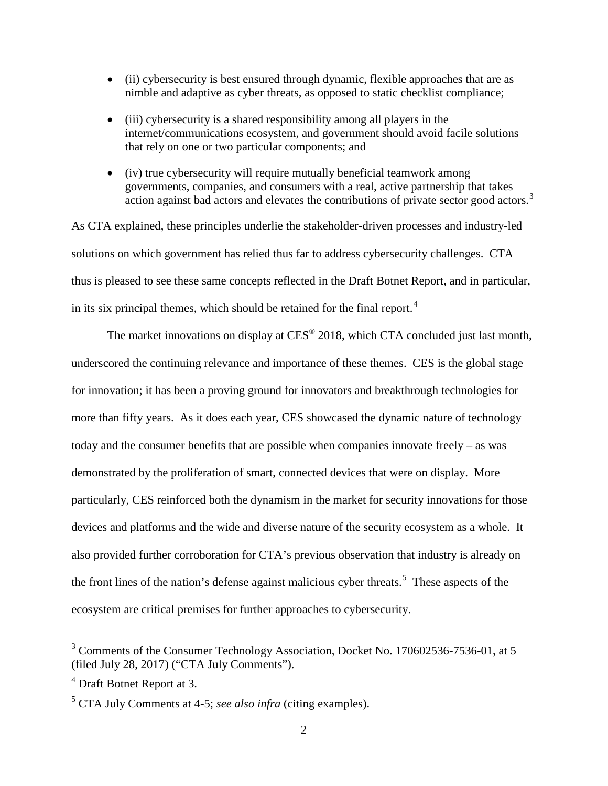- (ii) cybersecurity is best ensured through dynamic, flexible approaches that are as nimble and adaptive as cyber threats, as opposed to static checklist compliance;
- (iii) cybersecurity is a shared responsibility among all players in the internet/communications ecosystem, and government should avoid facile solutions that rely on one or two particular components; and
- (iv) true cybersecurity will require mutually beneficial teamwork among governments, companies, and consumers with a real, active partnership that takes action against bad actors and elevates the contributions of private sector good actors.<sup>[3](#page-3-0)</sup>

As CTA explained, these principles underlie the stakeholder-driven processes and industry-led solutions on which government has relied thus far to address cybersecurity challenges. CTA thus is pleased to see these same concepts reflected in the Draft Botnet Report, and in particular, in its six principal themes, which should be retained for the final report.<sup>[4](#page-3-1)</sup>

The market innovations on display at CES<sup>®</sup> 2018, which CTA concluded just last month, underscored the continuing relevance and importance of these themes. CES is the global stage for innovation; it has been a proving ground for innovators and breakthrough technologies for more than fifty years. As it does each year, CES showcased the dynamic nature of technology today and the consumer benefits that are possible when companies innovate freely – as was demonstrated by the proliferation of smart, connected devices that were on display. More particularly, CES reinforced both the dynamism in the market for security innovations for those devices and platforms and the wide and diverse nature of the security ecosystem as a whole. It also provided further corroboration for CTA's previous observation that industry is already on the front lines of the nation's defense against malicious cyber threats.<sup>[5](#page-3-2)</sup> These aspects of the ecosystem are critical premises for further approaches to cybersecurity.

<span id="page-3-0"></span> <sup>3</sup> Comments of the Consumer Technology Association, Docket No. 170602536-7536-01, at 5 (filed July 28, 2017) ("CTA July Comments").

<span id="page-3-1"></span><sup>4</sup> Draft Botnet Report at 3.

<span id="page-3-2"></span><sup>5</sup> CTA July Comments at 4-5; *see also infra* (citing examples).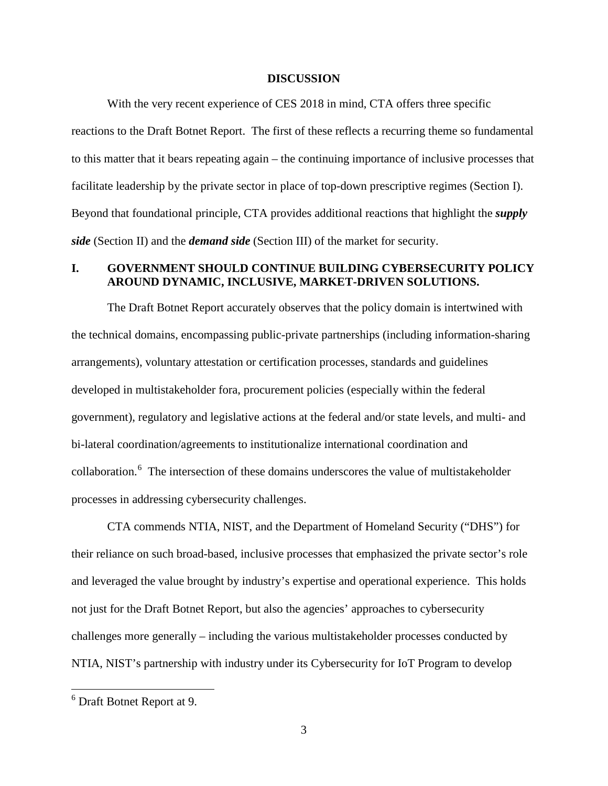#### **DISCUSSION**

<span id="page-4-0"></span>With the very recent experience of CES 2018 in mind, CTA offers three specific reactions to the Draft Botnet Report. The first of these reflects a recurring theme so fundamental to this matter that it bears repeating again – the continuing importance of inclusive processes that facilitate leadership by the private sector in place of top-down prescriptive regimes (Section I). Beyond that foundational principle, CTA provides additional reactions that highlight the *supply side* (Section II) and the *demand side* (Section III) of the market for security.

### <span id="page-4-1"></span>**I. GOVERNMENT SHOULD CONTINUE BUILDING CYBERSECURITY POLICY AROUND DYNAMIC, INCLUSIVE, MARKET-DRIVEN SOLUTIONS.**

The Draft Botnet Report accurately observes that the policy domain is intertwined with the technical domains, encompassing public-private partnerships (including information-sharing arrangements), voluntary attestation or certification processes, standards and guidelines developed in multistakeholder fora, procurement policies (especially within the federal government), regulatory and legislative actions at the federal and/or state levels, and multi- and bi-lateral coordination/agreements to institutionalize international coordination and collaboration. [6](#page-4-2) The intersection of these domains underscores the value of multistakeholder processes in addressing cybersecurity challenges.

CTA commends NTIA, NIST, and the Department of Homeland Security ("DHS") for their reliance on such broad-based, inclusive processes that emphasized the private sector's role and leveraged the value brought by industry's expertise and operational experience. This holds not just for the Draft Botnet Report, but also the agencies' approaches to cybersecurity challenges more generally – including the various multistakeholder processes conducted by NTIA, NIST's partnership with industry under its Cybersecurity for IoT Program to develop

<span id="page-4-2"></span> <sup>6</sup> Draft Botnet Report at 9.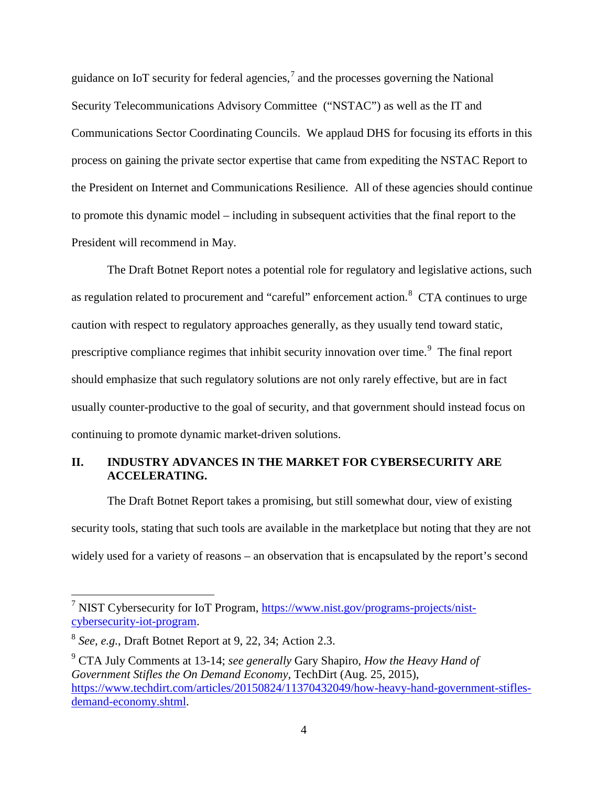guidance on IoT security for federal agencies,<sup>[7](#page-5-1)</sup> and the processes governing the National Security Telecommunications Advisory Committee ("NSTAC") as well as the IT and Communications Sector Coordinating Councils. We applaud DHS for focusing its efforts in this process on gaining the private sector expertise that came from expediting the NSTAC Report to the President on Internet and Communications Resilience. All of these agencies should continue to promote this dynamic model – including in subsequent activities that the final report to the President will recommend in May.

The Draft Botnet Report notes a potential role for regulatory and legislative actions, such as regulation related to procurement and "careful" enforcement action.<sup>[8](#page-5-2)</sup> CTA continues to urge caution with respect to regulatory approaches generally, as they usually tend toward static, prescriptive compliance regimes that inhibit security innovation over time.<sup>[9](#page-5-3)</sup> The final report should emphasize that such regulatory solutions are not only rarely effective, but are in fact usually counter-productive to the goal of security, and that government should instead focus on continuing to promote dynamic market-driven solutions.

### <span id="page-5-0"></span>**II. INDUSTRY ADVANCES IN THE MARKET FOR CYBERSECURITY ARE ACCELERATING.**

The Draft Botnet Report takes a promising, but still somewhat dour, view of existing security tools, stating that such tools are available in the marketplace but noting that they are not widely used for a variety of reasons – an observation that is encapsulated by the report's second

<span id="page-5-1"></span><sup>&</sup>lt;sup>7</sup> NIST Cybersecurity for IoT Program, [https://www.nist.gov/programs-projects/nist](https://www.nist.gov/programs-projects/nist-cybersecurity-iot-program)[cybersecurity-iot-program.](https://www.nist.gov/programs-projects/nist-cybersecurity-iot-program)

<span id="page-5-2"></span><sup>8</sup> *See, e.g.*, Draft Botnet Report at 9, 22, 34; Action 2.3.

<span id="page-5-3"></span><sup>9</sup> CTA July Comments at 13-14; *see generally* Gary Shapiro, *How the Heavy Hand of Government Stifles the On Demand Economy*, TechDirt (Aug. 25, 2015), [https://www.techdirt.com/articles/20150824/11370432049/how-heavy-hand-government-stifles](https://www.techdirt.com/articles/20150824/11370432049/how-heavy-hand-government-stifles-demand-economy.shtml)[demand-economy.shtml.](https://www.techdirt.com/articles/20150824/11370432049/how-heavy-hand-government-stifles-demand-economy.shtml)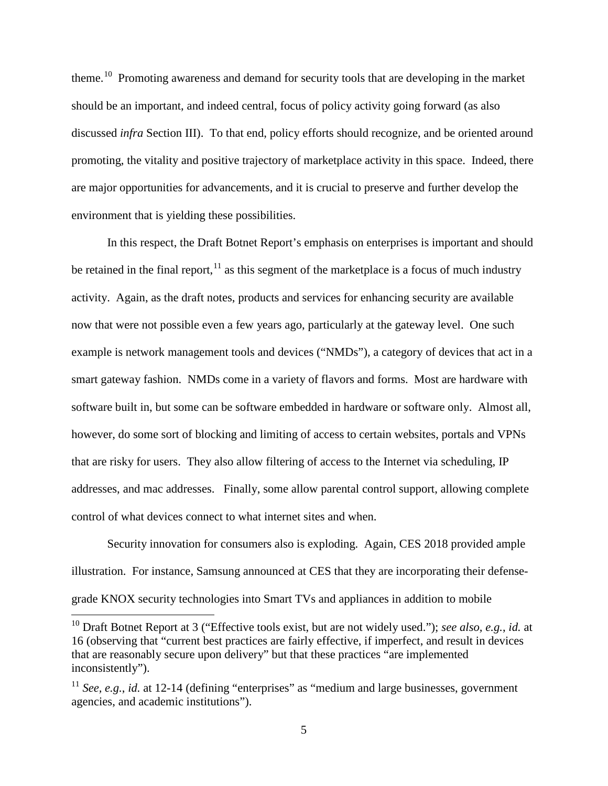theme.[10](#page-6-0) Promoting awareness and demand for security tools that are developing in the market should be an important, and indeed central, focus of policy activity going forward (as also discussed *infra* Section III). To that end, policy efforts should recognize, and be oriented around promoting, the vitality and positive trajectory of marketplace activity in this space. Indeed, there are major opportunities for advancements, and it is crucial to preserve and further develop the environment that is yielding these possibilities.

In this respect, the Draft Botnet Report's emphasis on enterprises is important and should be retained in the final report,  $\frac{11}{1}$  $\frac{11}{1}$  $\frac{11}{1}$  as this segment of the marketplace is a focus of much industry activity. Again, as the draft notes, products and services for enhancing security are available now that were not possible even a few years ago, particularly at the gateway level. One such example is network management tools and devices ("NMDs"), a category of devices that act in a smart gateway fashion. NMDs come in a variety of flavors and forms. Most are hardware with software built in, but some can be software embedded in hardware or software only. Almost all, however, do some sort of blocking and limiting of access to certain websites, portals and VPNs that are risky for users. They also allow filtering of access to the Internet via scheduling, IP addresses, and mac addresses. Finally, some allow parental control support, allowing complete control of what devices connect to what internet sites and when.

Security innovation for consumers also is exploding. Again, CES 2018 provided ample illustration. For instance, Samsung announced at CES that they are incorporating their defensegrade KNOX security technologies into Smart TVs and appliances in addition to mobile

<span id="page-6-0"></span> <sup>10</sup> Draft Botnet Report at 3 ("Effective tools exist, but are not widely used."); *see also, e.g.*, *id.* at 16 (observing that "current best practices are fairly effective, if imperfect, and result in devices that are reasonably secure upon delivery" but that these practices "are implemented inconsistently").

<span id="page-6-1"></span><sup>&</sup>lt;sup>11</sup> *See, e.g., id.* at 12-14 (defining "enterprises" as "medium and large businesses, government agencies, and academic institutions").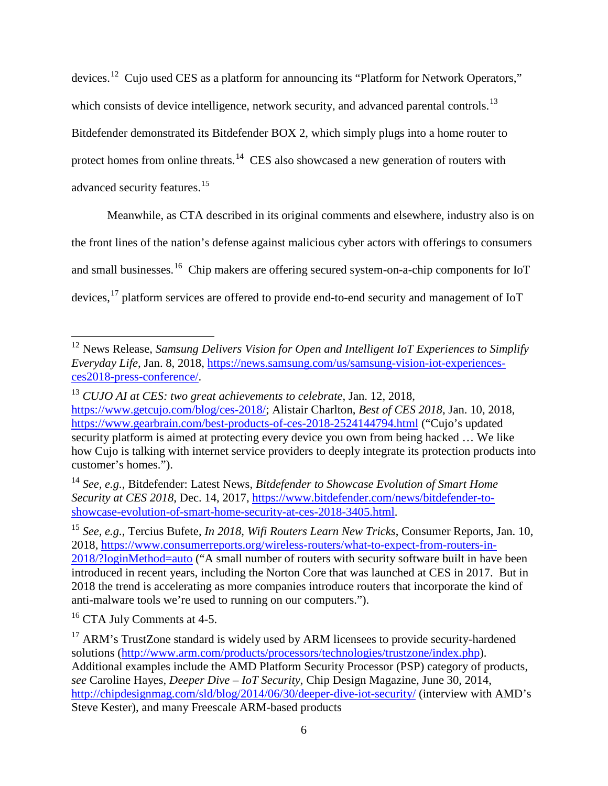devices.[12](#page-7-0) Cujo used CES as a platform for announcing its "Platform for Network Operators," which consists of device intelligence, network security, and advanced parental controls.<sup>[13](#page-7-1)</sup> Bitdefender demonstrated its Bitdefender BOX 2, which simply plugs into a home router to protect homes from online threats.<sup>[14](#page-7-2)</sup> CES also showcased a new generation of routers with advanced security features.<sup>[15](#page-7-3)</sup>

Meanwhile, as CTA described in its original comments and elsewhere, industry also is on

the front lines of the nation's defense against malicious cyber actors with offerings to consumers

and small businesses.<sup>16</sup> Chip makers are offering secured system-on-a-chip components for IoT

devices,<sup>[17](#page-7-5)</sup> platform services are offered to provide end-to-end security and management of IoT

<span id="page-7-0"></span> <sup>12</sup> News Release, *Samsung Delivers Vision for Open and Intelligent IoT Experiences to Simplify Everyday Life*, Jan. 8, 2018, [https://news.samsung.com/us/samsung-vision-iot-experiences](https://news.samsung.com/us/samsung-vision-iot-experiences-ces2018-press-conference/)[ces2018-press-conference/.](https://news.samsung.com/us/samsung-vision-iot-experiences-ces2018-press-conference/)

<span id="page-7-1"></span><sup>13</sup> *CUJO AI at CES: two great achievements to celebrate*, Jan. 12, 2018, [https://www.getcujo.com/blog/ces-2018/;](https://www.getcujo.com/blog/ces-2018/) Alistair Charlton, *Best of CES 2018*, Jan. 10, 2018, <https://www.gearbrain.com/best-products-of-ces-2018-2524144794.html> ("Cujo's updated security platform is aimed at protecting every device you own from being hacked … We like how Cujo is talking with internet service providers to deeply integrate its protection products into customer's homes.").

<span id="page-7-2"></span><sup>14</sup> *See, e.g.*, Bitdefender: Latest News, *Bitdefender to Showcase Evolution of Smart Home Security at CES 2018*, Dec. 14, 2017, [https://www.bitdefender.com/news/bitdefender-to](https://www.bitdefender.com/news/bitdefender-to-showcase-evolution-of-smart-home-security-at-ces-2018-3405.html)[showcase-evolution-of-smart-home-security-at-ces-2018-3405.html.](https://www.bitdefender.com/news/bitdefender-to-showcase-evolution-of-smart-home-security-at-ces-2018-3405.html)

<span id="page-7-3"></span><sup>15</sup> *See, e.g.*, Tercius Bufete, *In 2018, Wifi Routers Learn New Tricks*, Consumer Reports, Jan. 10, 2018, [https://www.consumerreports.org/wireless-routers/what-to-expect-from-routers-in-](https://www.consumerreports.org/wireless-routers/what-to-expect-from-routers-in-2018/?loginMethod=auto)[2018/?loginMethod=auto](https://www.consumerreports.org/wireless-routers/what-to-expect-from-routers-in-2018/?loginMethod=auto) ("A small number of routers with security software built in have been introduced in recent years, including the Norton Core that was launched at CES in 2017. But in 2018 the trend is accelerating as more companies introduce routers that incorporate the kind of anti-malware tools we're used to running on our computers.").

<span id="page-7-4"></span><sup>&</sup>lt;sup>16</sup> CTA July Comments at 4-5.

<span id="page-7-5"></span> $17$  ARM's TrustZone standard is widely used by ARM licensees to provide security-hardened solutions [\(http://www.arm.com/products/processors/technologies/trustzone/index.php\)](http://www.arm.com/products/processors/technologies/trustzone/index.php). Additional examples include the AMD Platform Security Processor (PSP) category of products, *see* Caroline Hayes, *Deeper Dive – IoT Security*, Chip Design Magazine, June 30, 2014, <http://chipdesignmag.com/sld/blog/2014/06/30/deeper-dive-iot-security/> (interview with AMD's Steve Kester), and many Freescale ARM-based products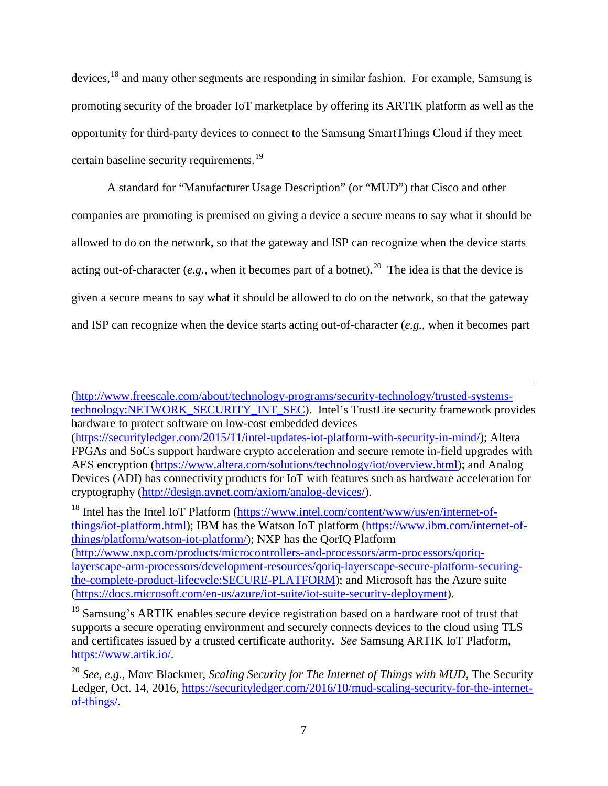devices,[18](#page-8-0) and many other segments are responding in similar fashion. For example, Samsung is promoting security of the broader IoT marketplace by offering its ARTIK platform as well as the opportunity for third-party devices to connect to the Samsung SmartThings Cloud if they meet certain baseline security requirements.<sup>[19](#page-8-1)</sup>

A standard for "Manufacturer Usage Description" (or "MUD") that Cisco and other companies are promoting is premised on giving a device a secure means to say what it should be allowed to do on the network, so that the gateway and ISP can recognize when the device starts acting out-of-character (*e.g.*, when it becomes part of a botnet).<sup>[20](#page-8-2)</sup> The idea is that the device is given a secure means to say what it should be allowed to do on the network, so that the gateway and ISP can recognize when the device starts acting out-of-character (*e.g.*, when it becomes part

[\(http://www.freescale.com/about/technology-programs/security-technology/trusted-systems](http://www.freescale.com/about/technology-programs/security-technology/trusted-systems-technology:NETWORK_SECURITY_INT_SEC)[technology:NETWORK\\_SECURITY\\_INT\\_SEC\)](http://www.freescale.com/about/technology-programs/security-technology/trusted-systems-technology:NETWORK_SECURITY_INT_SEC). Intel's TrustLite security framework provides hardware to protect software on low-cost embedded devices

 $\overline{a}$ 

<span id="page-8-0"></span><sup>18</sup> Intel has the Intel IoT Platform [\(https://www.intel.com/content/www/us/en/internet-of](https://www.intel.com/content/www/us/en/internet-of-things/iot-platform.html)[things/iot-platform.html\)](https://www.intel.com/content/www/us/en/internet-of-things/iot-platform.html); IBM has the Watson IoT platform [\(https://www.ibm.com/internet-of](https://www.ibm.com/internet-of-things/platform/watson-iot-platform/)[things/platform/watson-iot-platform/\)](https://www.ibm.com/internet-of-things/platform/watson-iot-platform/); NXP has the QorIQ Platform [\(http://www.nxp.com/products/microcontrollers-and-processors/arm-processors/qoriq](http://www.nxp.com/products/microcontrollers-and-processors/arm-processors/qoriq-layerscape-arm-processors/development-resources/qoriq-layerscape-secure-platform-securing-the-complete-product-lifecycle:SECURE-PLATFORM)[layerscape-arm-processors/development-resources/qoriq-layerscape-secure-platform-securing](http://www.nxp.com/products/microcontrollers-and-processors/arm-processors/qoriq-layerscape-arm-processors/development-resources/qoriq-layerscape-secure-platform-securing-the-complete-product-lifecycle:SECURE-PLATFORM)[the-complete-product-lifecycle:SECURE-PLATFORM\)](http://www.nxp.com/products/microcontrollers-and-processors/arm-processors/qoriq-layerscape-arm-processors/development-resources/qoriq-layerscape-secure-platform-securing-the-complete-product-lifecycle:SECURE-PLATFORM); and Microsoft has the Azure suite [\(https://docs.microsoft.com/en-us/azure/iot-suite/iot-suite-security-deployment\)](https://docs.microsoft.com/en-us/azure/iot-suite/iot-suite-security-deployment).

[<sup>\(</sup>https://securityledger.com/2015/11/intel-updates-iot-platform-with-security-in-mind/\)](https://securityledger.com/2015/11/intel-updates-iot-platform-with-security-in-mind/); Altera FPGAs and SoCs support hardware crypto acceleration and secure remote in-field upgrades with AES encryption [\(https://www.altera.com/solutions/technology/iot/overview.html\)](https://www.altera.com/solutions/technology/iot/overview.html); and Analog Devices (ADI) has connectivity products for IoT with features such as hardware acceleration for cryptography [\(http://design.avnet.com/axiom/analog-devices/\)](http://design.avnet.com/axiom/analog-devices/).

<span id="page-8-1"></span><sup>&</sup>lt;sup>19</sup> Samsung's ARTIK enables secure device registration based on a hardware root of trust that supports a secure operating environment and securely connects devices to the cloud using TLS and certificates issued by a trusted certificate authority. *See* Samsung ARTIK IoT Platform, [https://www.artik.io/.](https://www.artik.io/)

<span id="page-8-2"></span><sup>20</sup> *See, e.g.*, Marc Blackmer, *Scaling Security for The Internet of Things with MUD*, The Security Ledger, Oct. 14, 2016, [https://securityledger.com/2016/10/mud-scaling-security-for-the-internet](https://securityledger.com/2016/10/mud-scaling-security-for-the-internet-of-things/)[of-things/.](https://securityledger.com/2016/10/mud-scaling-security-for-the-internet-of-things/)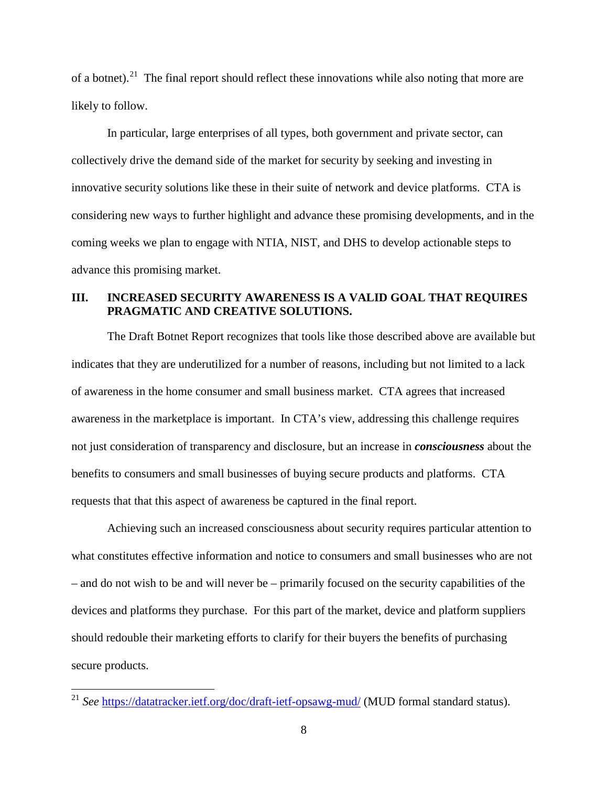of a botnet).<sup>21</sup> The final report should reflect these innovations while also noting that more are likely to follow.

In particular, large enterprises of all types, both government and private sector, can collectively drive the demand side of the market for security by seeking and investing in innovative security solutions like these in their suite of network and device platforms. CTA is considering new ways to further highlight and advance these promising developments, and in the coming weeks we plan to engage with NTIA, NIST, and DHS to develop actionable steps to advance this promising market.

## <span id="page-9-0"></span>**III. INCREASED SECURITY AWARENESS IS A VALID GOAL THAT REQUIRES PRAGMATIC AND CREATIVE SOLUTIONS.**

The Draft Botnet Report recognizes that tools like those described above are available but indicates that they are underutilized for a number of reasons, including but not limited to a lack of awareness in the home consumer and small business market. CTA agrees that increased awareness in the marketplace is important. In CTA's view, addressing this challenge requires not just consideration of transparency and disclosure, but an increase in *consciousness* about the benefits to consumers and small businesses of buying secure products and platforms. CTA requests that that this aspect of awareness be captured in the final report.

Achieving such an increased consciousness about security requires particular attention to what constitutes effective information and notice to consumers and small businesses who are not – and do not wish to be and will never be – primarily focused on the security capabilities of the devices and platforms they purchase. For this part of the market, device and platform suppliers should redouble their marketing efforts to clarify for their buyers the benefits of purchasing secure products.

<span id="page-9-1"></span><sup>&</sup>lt;sup>21</sup> *See* <https://datatracker.ietf.org/doc/draft-ietf-opsawg-mud/> (MUD formal standard status).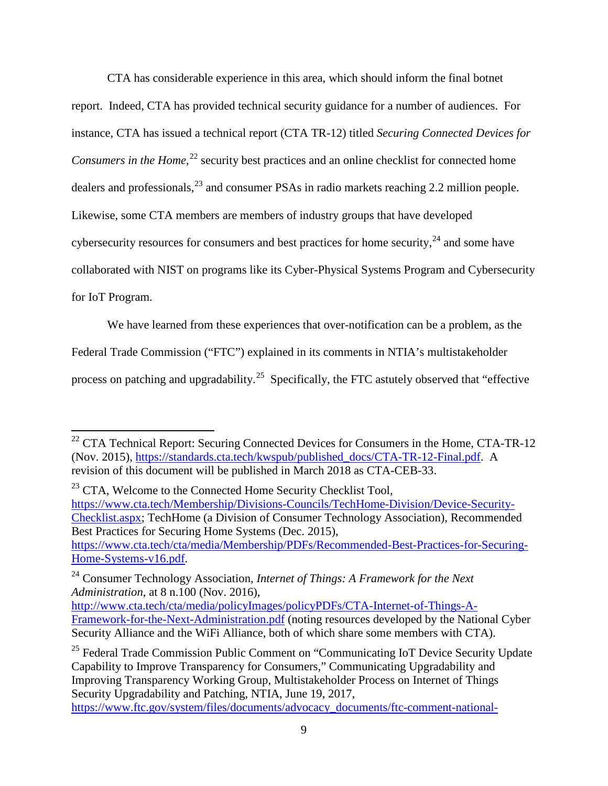CTA has considerable experience in this area, which should inform the final botnet report. Indeed, CTA has provided technical security guidance for a number of audiences. For instance, CTA has issued a technical report (CTA TR-12) titled *Securing Connected Devices for*  Consumers in the Home,<sup>[22](#page-10-0)</sup> security best practices and an online checklist for connected home dealers and professionals,<sup>[23](#page-10-1)</sup> and consumer PSAs in radio markets reaching 2.2 million people. Likewise, some CTA members are members of industry groups that have developed cybersecurity resources for consumers and best practices for home security,  $24$  and some have collaborated with NIST on programs like its Cyber-Physical Systems Program and Cybersecurity for IoT Program.

We have learned from these experiences that over-notification can be a problem, as the

Federal Trade Commission ("FTC") explained in its comments in NTIA's multistakeholder

process on patching and upgradability.<sup>[25](#page-10-3)</sup> Specifically, the FTC astutely observed that "effective"

<span id="page-10-1"></span><sup>23</sup> CTA, Welcome to the Connected Home Security Checklist Tool, [https://www.cta.tech/Membership/Divisions-Councils/TechHome-Division/Device-Security-](https://www.cta.tech/Membership/Divisions-Councils/TechHome-Division/Device-Security-Checklist.aspx)[Checklist.aspx;](https://www.cta.tech/Membership/Divisions-Councils/TechHome-Division/Device-Security-Checklist.aspx) TechHome (a Division of Consumer Technology Association), Recommended Best Practices for Securing Home Systems (Dec. 2015), [https://www.cta.tech/cta/media/Membership/PDFs/Recommended-Best-Practices-for-Securing-](https://www.cta.tech/cta/media/Membership/PDFs/Recommended-Best-Practices-for-Securing-Home-Systems-v16.pdf)[Home-Systems-v16.pdf.](https://www.cta.tech/cta/media/Membership/PDFs/Recommended-Best-Practices-for-Securing-Home-Systems-v16.pdf)

<span id="page-10-2"></span><sup>24</sup> Consumer Technology Association, *Internet of Things: A Framework for the Next Administration*, at 8 n.100 (Nov. 2016),

[http://www.cta.tech/cta/media/policyImages/policyPDFs/CTA-Internet-of-Things-A-](http://www.cta.tech/cta/media/policyImages/policyPDFs/CTA-Internet-of-Things-A-Framework-for-the-Next-Administration.pdf)[Framework-for-the-Next-Administration.pdf](http://www.cta.tech/cta/media/policyImages/policyPDFs/CTA-Internet-of-Things-A-Framework-for-the-Next-Administration.pdf) (noting resources developed by the National Cyber Security Alliance and the WiFi Alliance, both of which share some members with CTA).

<span id="page-10-3"></span><sup>25</sup> Federal Trade Commission Public Comment on "Communicating IoT Device Security Update Capability to Improve Transparency for Consumers," Communicating Upgradability and Improving Transparency Working Group, Multistakeholder Process on Internet of Things Security Upgradability and Patching, NTIA, June 19, 2017, [https://www.ftc.gov/system/files/documents/advocacy\\_documents/ftc-comment-national-](https://www.ftc.gov/system/files/documents/advocacy_documents/ftc-comment-national-telecommunications-information-administration-communicating-iot-device-security/170619ntiaiotcomment.pdf)

<span id="page-10-0"></span> $22$  CTA Technical Report: Securing Connected Devices for Consumers in the Home, CTA-TR-12 (Nov. 2015), [https://standards.cta.tech/kwspub/published\\_docs/CTA-TR-12-Final.pdf.](https://standards.cta.tech/kwspub/published_docs/CTA-TR-12-Final.pdf) A revision of this document will be published in March 2018 as CTA-CEB-33.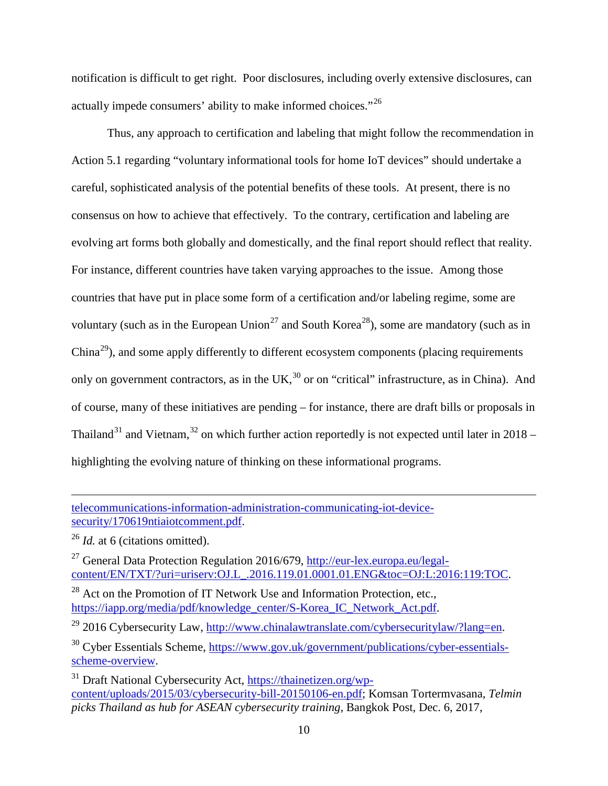notification is difficult to get right. Poor disclosures, including overly extensive disclosures, can actually impede consumers' ability to make informed choices."[26](#page-11-0) 

Thus, any approach to certification and labeling that might follow the recommendation in Action 5.1 regarding "voluntary informational tools for home IoT devices" should undertake a careful, sophisticated analysis of the potential benefits of these tools. At present, there is no consensus on how to achieve that effectively. To the contrary, certification and labeling are evolving art forms both globally and domestically, and the final report should reflect that reality. For instance, different countries have taken varying approaches to the issue. Among those countries that have put in place some form of a certification and/or labeling regime, some are voluntary (such as in the European Union<sup>[27](#page-11-1)</sup> and South Korea<sup>28</sup>), some are mandatory (such as in China<sup>[29](#page-11-3)</sup>), and some apply differently to different ecosystem components (placing requirements only on government contractors, as in the  $UK<sub>1</sub><sup>30</sup>$  $UK<sub>1</sub><sup>30</sup>$  $UK<sub>1</sub><sup>30</sup>$  or on "critical" infrastructure, as in China). And of course, many of these initiatives are pending – for instance, there are draft bills or proposals in Thailand<sup>[31](#page-11-5)</sup> and Vietnam,<sup>[32](#page-11-6)</sup> on which further action reportedly is not expected until later in 2018 – highlighting the evolving nature of thinking on these informational programs.

[telecommunications-information-administration-communicating-iot-device](https://www.ftc.gov/system/files/documents/advocacy_documents/ftc-comment-national-telecommunications-information-administration-communicating-iot-device-security/170619ntiaiotcomment.pdf)[security/170619ntiaiotcomment.pdf.](https://www.ftc.gov/system/files/documents/advocacy_documents/ftc-comment-national-telecommunications-information-administration-communicating-iot-device-security/170619ntiaiotcomment.pdf)

<span id="page-11-0"></span><sup>26</sup> *Id.* at 6 (citations omitted).

<span id="page-11-6"></span> $\overline{a}$ 

<span id="page-11-1"></span><sup>27</sup> General Data Protection Regulation 2016/679, [http://eur-lex.europa.eu/legal](http://eur-lex.europa.eu/legal-content/EN/TXT/?uri=uriserv:OJ.L_.2016.119.01.0001.01.ENG&toc=OJ:L:2016:119:TOC)[content/EN/TXT/?uri=uriserv:OJ.L\\_.2016.119.01.0001.01.ENG&toc=OJ:L:2016:119:TOC.](http://eur-lex.europa.eu/legal-content/EN/TXT/?uri=uriserv:OJ.L_.2016.119.01.0001.01.ENG&toc=OJ:L:2016:119:TOC)

<span id="page-11-2"></span><sup>28</sup> Act on the Promotion of IT Network Use and Information Protection, etc., [https://iapp.org/media/pdf/knowledge\\_center/S-Korea\\_IC\\_Network\\_Act.pdf.](https://iapp.org/media/pdf/knowledge_center/S-Korea_IC_Network_Act.pdf)

<span id="page-11-3"></span><sup>29</sup> 2016 Cybersecurity Law, [http://www.chinalawtranslate.com/cybersecuritylaw/?lang=en.](http://www.chinalawtranslate.com/cybersecuritylaw/?lang=en)

<span id="page-11-4"></span> $30$  Cyber Essentials Scheme, [https://www.gov.uk/government/publications/cyber-essentials](https://www.gov.uk/government/publications/cyber-essentials-scheme-overview)[scheme-overview.](https://www.gov.uk/government/publications/cyber-essentials-scheme-overview)

<span id="page-11-5"></span><sup>31</sup> Draft National Cybersecurity Act, [https://thainetizen.org/wp](https://thainetizen.org/wp-content/uploads/2015/03/cybersecurity-bill-20150106-en.pdf)[content/uploads/2015/03/cybersecurity-bill-20150106-en.pdf;](https://thainetizen.org/wp-content/uploads/2015/03/cybersecurity-bill-20150106-en.pdf) Komsan Tortermvasana, *Telmin picks Thailand as hub for ASEAN cybersecurity training*, Bangkok Post, Dec. 6, 2017,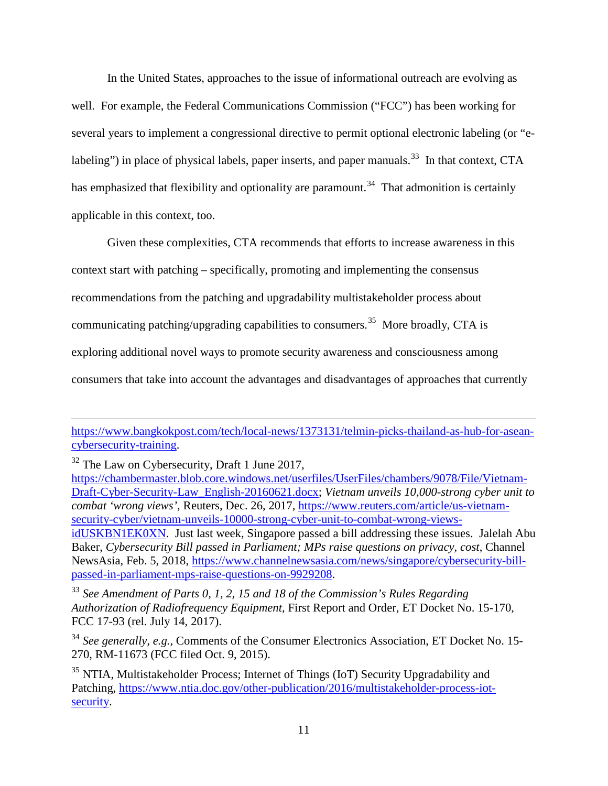In the United States, approaches to the issue of informational outreach are evolving as well. For example, the Federal Communications Commission ("FCC") has been working for several years to implement a congressional directive to permit optional electronic labeling (or "e-labeling") in place of physical labels, paper inserts, and paper manuals.<sup>[33](#page-12-0)</sup> In that context, CTA has emphasized that flexibility and optionality are paramount.<sup>[34](#page-12-1)</sup> That admonition is certainly applicable in this context, too.

Given these complexities, CTA recommends that efforts to increase awareness in this context start with patching – specifically, promoting and implementing the consensus recommendations from the patching and upgradability multistakeholder process about communicating patching/upgrading capabilities to consumers.<sup>35</sup> More broadly, CTA is exploring additional novel ways to promote security awareness and consciousness among consumers that take into account the advantages and disadvantages of approaches that currently

 $\overline{a}$ 

[https://www.bangkokpost.com/tech/local-news/1373131/telmin-picks-thailand-as-hub-for-asean](https://www.bangkokpost.com/tech/local-news/1373131/telmin-picks-thailand-as-hub-for-asean-cybersecurity-training)[cybersecurity-training.](https://www.bangkokpost.com/tech/local-news/1373131/telmin-picks-thailand-as-hub-for-asean-cybersecurity-training)

<sup>&</sup>lt;sup>32</sup> The Law on Cybersecurity, Draft 1 June 2017,

[https://chambermaster.blob.core.windows.net/userfiles/UserFiles/chambers/9078/File/Vietnam-](https://chambermaster.blob.core.windows.net/userfiles/UserFiles/chambers/9078/File/Vietnam-Draft-Cyber-Security-Law_English-20160621.docx)[Draft-Cyber-Security-Law\\_English-20160621.docx;](https://chambermaster.blob.core.windows.net/userfiles/UserFiles/chambers/9078/File/Vietnam-Draft-Cyber-Security-Law_English-20160621.docx) *Vietnam unveils 10,000-strong cyber unit to combat 'wrong views'*, Reuters, Dec. 26, 2017, [https://www.reuters.com/article/us-vietnam](https://www.reuters.com/article/us-vietnam-security-cyber/vietnam-unveils-10000-strong-cyber-unit-to-combat-wrong-views-idUSKBN1EK0XN)[security-cyber/vietnam-unveils-10000-strong-cyber-unit-to-combat-wrong-views-](https://www.reuters.com/article/us-vietnam-security-cyber/vietnam-unveils-10000-strong-cyber-unit-to-combat-wrong-views-idUSKBN1EK0XN)

[idUSKBN1EK0XN.](https://www.reuters.com/article/us-vietnam-security-cyber/vietnam-unveils-10000-strong-cyber-unit-to-combat-wrong-views-idUSKBN1EK0XN) Just last week, Singapore passed a bill addressing these issues. Jalelah Abu Baker, *Cybersecurity Bill passed in Parliament; MPs raise questions on privacy, cost*, Channel NewsAsia, Feb. 5, 2018, [https://www.channelnewsasia.com/news/singapore/cybersecurity-bill](https://www.channelnewsasia.com/news/singapore/cybersecurity-bill-passed-in-parliament-mps-raise-questions-on-9929208)[passed-in-parliament-mps-raise-questions-on-9929208.](https://www.channelnewsasia.com/news/singapore/cybersecurity-bill-passed-in-parliament-mps-raise-questions-on-9929208)

<span id="page-12-0"></span><sup>33</sup> *See Amendment of Parts 0, 1, 2, 15 and 18 of the Commission's Rules Regarding Authorization of Radiofrequency Equipment*, First Report and Order, ET Docket No. 15-170, FCC 17-93 (rel. July 14, 2017).

<span id="page-12-1"></span><sup>&</sup>lt;sup>34</sup> See generally, e.g., Comments of the Consumer Electronics Association, ET Docket No. 15-270, RM-11673 (FCC filed Oct. 9, 2015).

<span id="page-12-2"></span><sup>&</sup>lt;sup>35</sup> NTIA, Multistakeholder Process; Internet of Things (IoT) Security Upgradability and Patching, [https://www.ntia.doc.gov/other-publication/2016/multistakeholder-process-iot](https://www.ntia.doc.gov/other-publication/2016/multistakeholder-process-iot-security)[security.](https://www.ntia.doc.gov/other-publication/2016/multistakeholder-process-iot-security)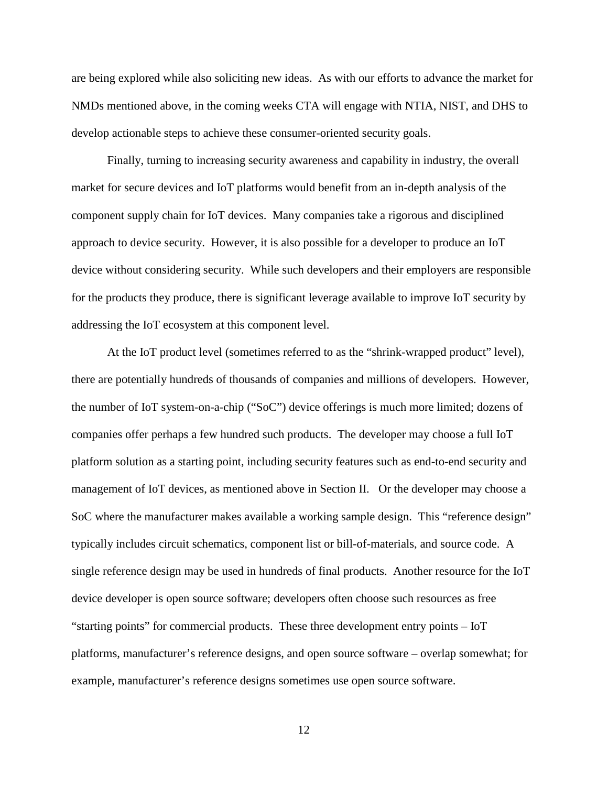are being explored while also soliciting new ideas. As with our efforts to advance the market for NMDs mentioned above, in the coming weeks CTA will engage with NTIA, NIST, and DHS to develop actionable steps to achieve these consumer-oriented security goals.

Finally, turning to increasing security awareness and capability in industry, the overall market for secure devices and IoT platforms would benefit from an in-depth analysis of the component supply chain for IoT devices. Many companies take a rigorous and disciplined approach to device security. However, it is also possible for a developer to produce an IoT device without considering security. While such developers and their employers are responsible for the products they produce, there is significant leverage available to improve IoT security by addressing the IoT ecosystem at this component level.

At the IoT product level (sometimes referred to as the "shrink-wrapped product" level), there are potentially hundreds of thousands of companies and millions of developers. However, the number of IoT system-on-a-chip ("SoC") device offerings is much more limited; dozens of companies offer perhaps a few hundred such products. The developer may choose a full IoT platform solution as a starting point, including security features such as end-to-end security and management of IoT devices, as mentioned above in Section II. Or the developer may choose a SoC where the manufacturer makes available a working sample design. This "reference design" typically includes circuit schematics, component list or bill-of-materials, and source code. A single reference design may be used in hundreds of final products. Another resource for the IoT device developer is open source software; developers often choose such resources as free "starting points" for commercial products. These three development entry points – IoT platforms, manufacturer's reference designs, and open source software – overlap somewhat; for example, manufacturer's reference designs sometimes use open source software.

12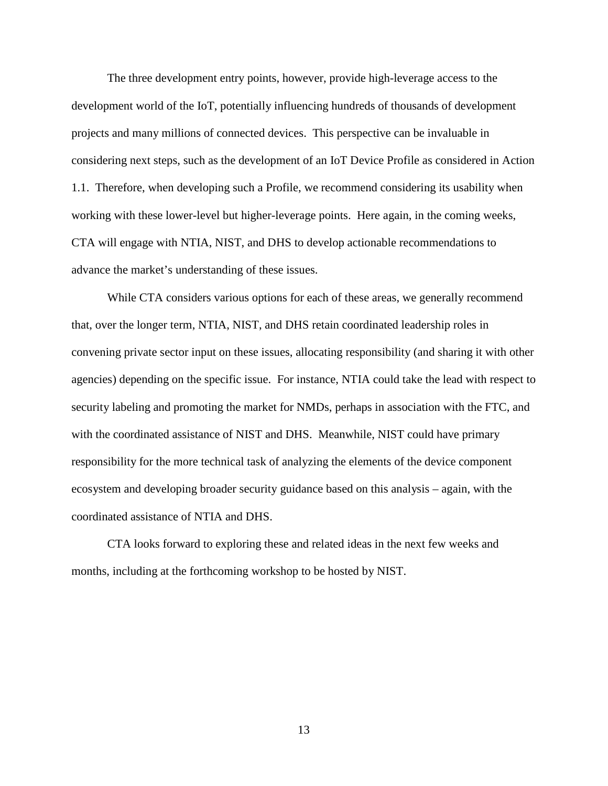The three development entry points, however, provide high-leverage access to the development world of the IoT, potentially influencing hundreds of thousands of development projects and many millions of connected devices. This perspective can be invaluable in considering next steps, such as the development of an IoT Device Profile as considered in Action 1.1. Therefore, when developing such a Profile, we recommend considering its usability when working with these lower-level but higher-leverage points. Here again, in the coming weeks, CTA will engage with NTIA, NIST, and DHS to develop actionable recommendations to advance the market's understanding of these issues.

While CTA considers various options for each of these areas, we generally recommend that, over the longer term, NTIA, NIST, and DHS retain coordinated leadership roles in convening private sector input on these issues, allocating responsibility (and sharing it with other agencies) depending on the specific issue. For instance, NTIA could take the lead with respect to security labeling and promoting the market for NMDs, perhaps in association with the FTC, and with the coordinated assistance of NIST and DHS. Meanwhile, NIST could have primary responsibility for the more technical task of analyzing the elements of the device component ecosystem and developing broader security guidance based on this analysis – again, with the coordinated assistance of NTIA and DHS.

CTA looks forward to exploring these and related ideas in the next few weeks and months, including at the forthcoming workshop to be hosted by NIST.

13